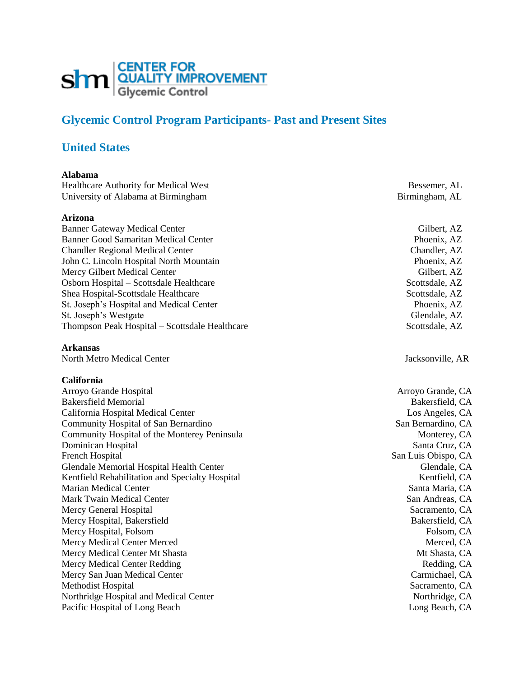

# **Glycemic Control Program Participants- Past and Present Sites**

# **United States**

#### **Alabama**

Healthcare Authority for Medical West Bessemer, AL University of Alabama at Birmingham Birmingham Birmingham, AL

#### **Arizona**

Banner Gateway Medical Center Gilbert, AZ Banner Good Samaritan Medical Center **Phoenix, AZ** Chandler Regional Medical Center Chandler, AZ John C. Lincoln Hospital North Mountain Phoenix, AZ Mercy Gilbert Medical Center Gilbert, AZ Osborn Hospital – Scottsdale Healthcare Scottsdale, AZ Shea Hospital-Scottsdale Healthcare Scottsdale, AZ St. Joseph's Hospital and Medical Center **Phoenix**, AZ St. Joseph's Westgate Glendale, AZ Thompson Peak Hospital – Scottsdale Healthcare Scottsdale, AZ

#### **Arkansas**

North Metro Medical Center Jacksonville, AR

#### **California**

Arroyo Grande Hospital Arroyo Grande, CA Bakersfield Memorial and the second second service of the Bakersfield, CA California Hospital Medical Center Los Angeles, CA Community Hospital of San Bernardino San Bernardino, CA Community Hospital of the Monterey Peninsula Monterey, CA Dominican Hospital Santa Cruz, CA French Hospital San Luis Obispo, CA Glendale Memorial Hospital Health Center Glendale CA Glendale, CA Glendale, CA Kentfield Rehabilitation and Specialty Hospital Network and Specialty Hospital Kentfield, CA Marian Medical Center Santa Maria, CA Mark Twain Medical Center San Andreas, CA Mercy General Hospital Sacramento, CA Mercy Hospital, Bakersfield Bakersfield, CA Mercy Hospital, Folsom Folsom, CA Mercy Medical Center Merced and the Merced, CA and Merced, CA and Merced, CA and Merced, CA and Merced, CA and Merced, CA and Merced, CA and Merced, CA and Merced, CA and Merced, CA and Merced, CA and Merced, CA and Merced Mercy Medical Center Mt Shasta Mt Shasta Mt Shasta, CA Mercy Medical Center Redding Redding Redding, CA Mercy San Juan Medical Center Carmichael, CA Methodist Hospital Sacramento, CA Northridge Hospital and Medical Center Northridge, CA Pacific Hospital of Long Beach Long Beach Long Beach Long Beach Long Beach, CA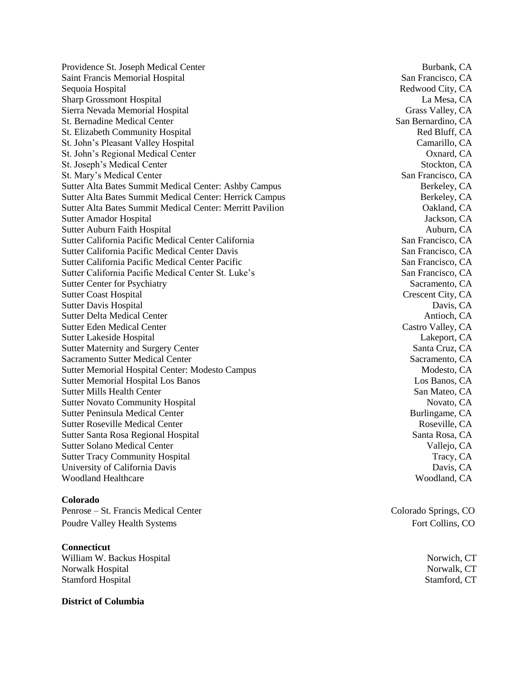Providence St. Joseph Medical Center **Burbank, CA** Burbank, CA Saint Francis Memorial Hospital San Francisco, CA Sequoia Hospital **Redwood City, CA** Sharp Grossmont Hospital **La Mesa, CA** Sierra Nevada Memorial Hospital Grass Valley, CA St. Bernadine Medical Center San Bernardino, CA St. Elizabeth Community Hospital and St. Elizabeth Community Hospital Red Bluff, CA St. John's Pleasant Valley Hospital Camarillo, CA St. John's Regional Medical Center Oxnard, CA St. Joseph's Medical Center Stockton, CA St. Mary's Medical Center San Francisco, CA Sutter Alta Bates Summit Medical Center: Ashby Campus Berkeley, CA Sutter Alta Bates Summit Medical Center: Herrick Campus Berkeley, CA Sutter Alta Bates Summit Medical Center: Merritt Pavilion **CALLA COM** Oakland, CA Sutter Amador Hospital Jackson, CA Sutter Auburn Faith Hospital **Auburn, CA** Sutter California Pacific Medical Center California San Francisco, CA Sutter California Pacific Medical Center Davis San Francisco, CA Sutter California Pacific Medical Center Pacific San Francisco, CA Sutter California Pacific Medical Center St. Luke's San Francisco, CA Sutter Center for Psychiatry Sacramento, CA Sutter Coast Hospital Crescent City, CA Sutter Davis Hospital Davis, CA Sutter Delta Medical Center Antioch, CA Sutter Eden Medical Center Castro Valley, CA Sutter Lakeside Hospital and Sutter Lakeside Hospital and Lakeport, CA Sutter Maternity and Surgery Center Santa Cruz, CA Sacramento Sutter Medical Center Sacramento Sutter Medical Center Sacramento, CA Sutter Memorial Hospital Center: Modesto Campus Modesto, CA Sutter Memorial Hospital Los Banos **CA** Sutter Mills Health Center San Mateo, CA Sutter Novato Community Hospital Novato, CA Sutter Peninsula Medical Center **Burlingame, CA** Sutter Roseville Medical Center Roseville, CA Sutter Santa Rosa Regional Hospital Santa Rosa, CA Sutter Solano Medical Center Vallejo, CA Sutter Tracy Community Hospital Tracy, CA University of California Davis Davis, CA Woodland Healthcare Woodland, CA

#### **Colorado**

Penrose – St. Francis Medical Center Colorado Springs, CO Poudre Valley Health Systems Fort Collins, CO

## **Connecticut**

William W. Backus Hospital Norwich, CT Norwalk Hospital Norwalk, CT Stamford Hospital Stamford, CT

**District of Columbia**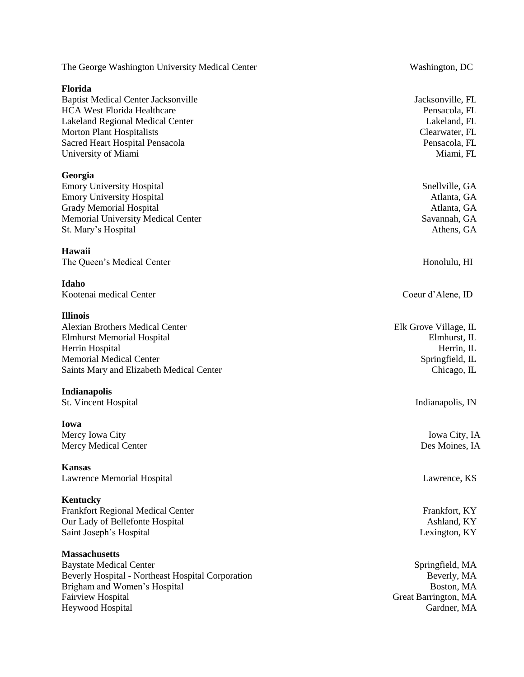| The George Washington University Medical Center                                                                                                                                                                                             | Washington, DC                                                                                    |
|---------------------------------------------------------------------------------------------------------------------------------------------------------------------------------------------------------------------------------------------|---------------------------------------------------------------------------------------------------|
| Florida<br><b>Baptist Medical Center Jacksonville</b><br><b>HCA West Florida Healthcare</b><br><b>Lakeland Regional Medical Center</b><br><b>Morton Plant Hospitalists</b><br><b>Sacred Heart Hospital Pensacola</b><br>University of Miami | Jacksonville, FL<br>Pensacola, FL<br>Lakeland, FL<br>Clearwater, FL<br>Pensacola, FL<br>Miami, FL |
| Georgia<br><b>Emory University Hospital</b><br><b>Emory University Hospital</b><br><b>Grady Memorial Hospital</b><br><b>Memorial University Medical Center</b><br>St. Mary's Hospital                                                       | Snellville, GA<br>Atlanta, GA<br>Atlanta, GA<br>Savannah, GA<br>Athens, GA                        |
| Hawaii<br>The Queen's Medical Center                                                                                                                                                                                                        | Honolulu, HI                                                                                      |
| Idaho<br>Kootenai medical Center                                                                                                                                                                                                            | Coeur d'Alene, ID                                                                                 |
| <b>Illinois</b><br><b>Alexian Brothers Medical Center</b><br><b>Elmhurst Memorial Hospital</b><br>Herrin Hospital<br><b>Memorial Medical Center</b><br>Saints Mary and Elizabeth Medical Center                                             | Elk Grove Village, IL<br>Elmhurst, IL<br>Herrin, IL<br>Springfield, IL<br>Chicago, IL             |
| Indianapolis<br><b>St. Vincent Hospital</b>                                                                                                                                                                                                 | Indianapolis, IN                                                                                  |
| Iowa<br>Mercy Iowa City<br><b>Mercy Medical Center</b>                                                                                                                                                                                      | Iowa City, IA<br>Des Moines, IA                                                                   |
| Kansas<br><b>Lawrence Memorial Hospital</b>                                                                                                                                                                                                 | Lawrence, KS                                                                                      |
| <b>Kentucky</b><br><b>Frankfort Regional Medical Center</b><br>Our Lady of Bellefonte Hospital<br>Saint Joseph's Hospital                                                                                                                   | Frankfort, KY<br>Ashland, KY<br>Lexington, KY                                                     |
| <b>Massachusetts</b><br><b>Baystate Medical Center</b>                                                                                                                                                                                      | Springfield, MA                                                                                   |

Beverly Hospital - Northeast Hospital Corporation Beverly, MA Brigham and Women's Hospital Boston, MA Fairview Hospital<br>Heywood Hospital

Great Barrington, MA<br>Gardner, MA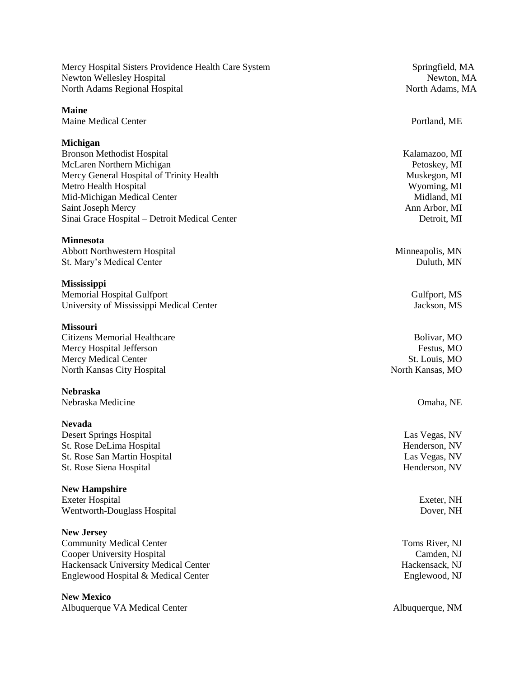Mercy Hospital Sisters Providence Health Care System Springfield, MA Newton Wellesley Hospital Newton, MA North Adams Regional Hospital North Adams, MA

**Maine** Maine Medical Center **Portland**, ME

### **Michigan**

Bronson Methodist Hospital National According to the Material Contract of Material According Material Kalamazoo, MI McLaren Northern Michigan Petoskey, MI Mercy General Hospital of Trinity Health Muskegon, MI Metro Health Hospital Wyoming, MI Mid-Michigan Medical Center Midland, MI Saint Joseph Mercy **Ann Arbor, MI** Ann Arbor, MI Sinai Grace Hospital – Detroit Medical Center Detroit, MI

## **Minnesota**

Abbott Northwestern Hospital Minneapolis, MN St. Mary's Medical Center **Duluth, MN** 

**Mississippi** Memorial Hospital Gulfport Gulfport Gulfport, MS University of Mississippi Medical Center **Jackson**, MS

#### **Missouri**

Citizens Memorial Healthcare Bolivar, MO Mercy Hospital Jefferson Festus, MO Mercy Medical Center St. Louis, MO North Kansas City Hospital North Kansas, MO

**Nebraska** Nebraska Medicine Omaha, NE

**Nevada** Desert Springs Hospital Las Vegas, NV St. Rose DeLima Hospital **Henderson**, NV St. Rose San Martin Hospital Las Vegas, NV St. Rose Siena Hospital Henderson, NV

#### **New Hampshire**

Exeter Hospital Exeter, NH Wentworth-Douglass Hospital Dover, NH

**New Jersey**

Community Medical Center Toms River, NJ Cooper University Hospital Camden, NJ Hackensack University Medical Center **Hackensack NJ** Hackensack, NJ Englewood Hospital & Medical Center **Englewood, NJ** 

**New Mexico**

Albuquerque VA Medical Center **Albuquerque, NM**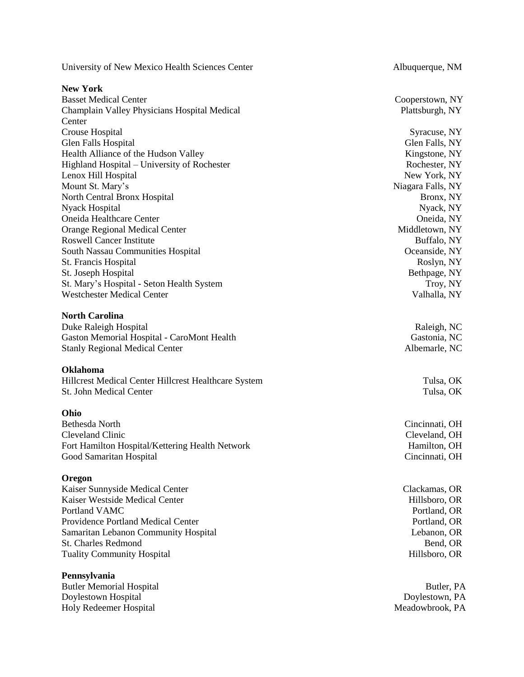University of New Mexico Health Sciences Center Albuquerque, NM

#### **New York**

Basset Medical Center Cooperstown, NY Champlain Valley Physicians Hospital Medical **Center** Crouse Hospital Syracuse, NY Glen Falls Hospital Glen Falls, NY Health Alliance of the Hudson Valley **Kingstone**, NY Highland Hospital – University of Rochester Rochester Rochester, NY Lenox Hill Hospital New York, NY Mount St. Mary's Niagara Falls, NY North Central Bronx Hospital Bronx, NY Nyack Hospital Nyack, NY Oneida Healthcare Center Oneida, NY Orange Regional Medical Center Middletown, NY Roswell Cancer Institute **Buffalo, NY** Buffalo, NY South Nassau Communities Hospital Oceanside, NY St. Francis Hospital Roslyn, NY St. Joseph Hospital Bethpage, NY St. Mary's Hospital - Seton Health System Troy, NY Westchester Medical Center Valhalla, NY

## **North Carolina**

Duke Raleigh Hospital **Raleigh**, NC Gaston Memorial Hospital - CaroMont Health Gastonia, NC Stanly Regional Medical Center Albemarle, NC

#### **Oklahoma**

Hillcrest Medical Center Hillcrest Healthcare System Tulsa, OK St. John Medical Center Tulsa, OK

**Ohio** Cleveland Clinic Cleveland, OH Fort Hamilton Hospital/Kettering Health Network Hamilton, OH Hamilton, OH Good Samaritan Hospital Cincinnati, OH

### **Oregon**

Kaiser Sunnyside Medical Center Clackamas, OR Kaiser Westside Medical Center **Hillsboro, OR** Hillsboro, OR Portland VAMC Portland VAMC Providence Portland Medical Center **Portland, OR** Portland, OR Samaritan Lebanon Community Hospital Lebanon, OR St. Charles Redmond Bend, OR Tuality Community Hospital **Hillsboro**, OR

#### **Pennsylvania**

Butler Memorial Hospital Butler, PA Doylestown Hospital Doylestown, PA Holy Redeemer Hospital Meadowbrook, PA

Plattsburgh, NY

Cincinnati, OH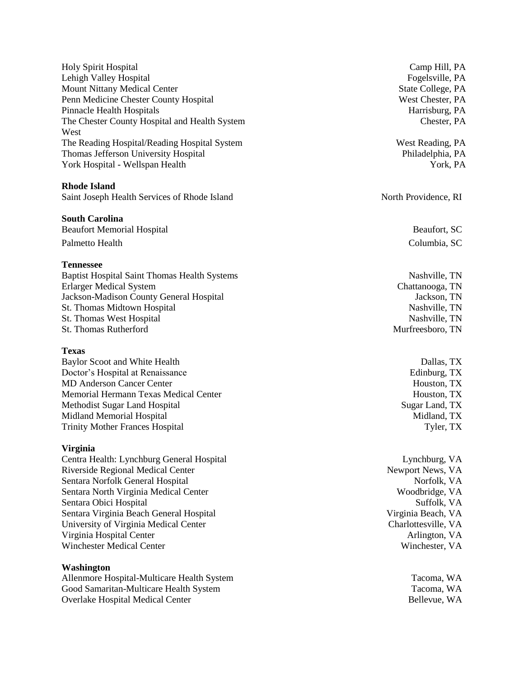Holy Spirit Hospital Camp Hill, PA Lehigh Valley Hospital Fogelsville, PA Mount Nittany Medical Center State College, PA Penn Medicine Chester County Hospital West Chester, PA Pinnacle Health Hospitals **Harrisburg**, PA The Chester County Hospital and Health System West The Reading Hospital/Reading Hospital System West Reading, PA Thomas Jefferson University Hospital **Philadelphia**, PA York Hospital - Wellspan Health York, PA

#### **Rhode Island**

Saint Joseph Health Services of Rhode Island North Providence, RI

#### **South Carolina**

Beaufort Memorial Hospital Beaufort, SC Palmetto Health Columbia, SC

#### **Tennessee**

Baptist Hospital Saint Thomas Health Systems Nashville, TN Erlarger Medical System Chattanooga, TN Jackson -Madison County General Hospital Jackson, TN St. Thomas Midtown Hospital Nashville, TN St. Thomas West Hospital Nashville, TN St. Thomas Rutherford **Murfreesboro**, TN

#### **Texas**

Baylor Scoot and White Health Dallas, TX Doctor's Hospital at Renaissance **Edinburg**, TX MD Anderson Cancer Center Houston, TX Memorial Hermann Texas Medical Center **Houston, TX** and Houston, TX Methodist Sugar Land Hospital Sugar Land, TX Midland Memorial Hospital Midland, TX Trinity Mother Frances Hospital Tyler, TX

#### **Virginia**

Centra Health: Lynchburg General Hospital Lynchburg, VA Riverside Regional Medical Center News, VA Newport News, VA Sentara Norfolk General Hospital Norfolk, VA Sentara North Virginia Medical Center Woodbridge, VA Sentara Obici Hospital Suffolk, VA Sentara Virginia Beach General Hospital Virginia Beach, VA University of Virginia Medical Center Charlottesville, VA Charlottesville, VA Virginia Hospital Center Arlington, VA Winchester Medical Center Winchester, VA

#### **Washington**

Allenmore Hospital -Multicare Health System Tacoma, WA Good Samaritan -Multicare Health System Tacoma, WA Overlake Hospital Medical Center **Bellevue, WA** 

Chester, PA

- 
-